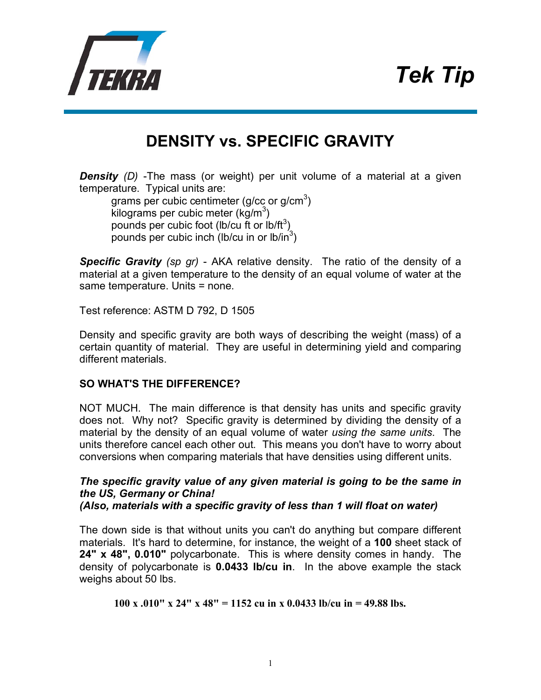## *Tek Tip*



## **DENSITY vs. SPECIFIC GRAVITY**

**Density** (D) -The mass (or weight) per unit volume of a material at a given temperature. Typical units are:

grams per cubic centimeter (g/cc or g/cm $3$ ) kilograms per cubic meter (kg/m<sup>3</sup>) pounds per cubic foot (lb/cu ft or lb/ft<sup>3</sup>) pounds per cubic inch (lb/cu in or lb/in $^3$ )

*Specific Gravity (sp gr)* - AKA relative density. The ratio of the density of a material at a given temperature to the density of an equal volume of water at the same temperature. Units = none.

Test reference: ASTM D 792, D 1505

Density and specific gravity are both ways of describing the weight (mass) of a certain quantity of material. They are useful in determining yield and comparing different materials.

## **SO WHAT'S THE DIFFERENCE?**

NOT MUCH. The main difference is that density has units and specific gravity does not. Why not? Specific gravity is determined by dividing the density of a material by the density of an equal volume of water *using the same units*. The units therefore cancel each other out. This means you don't have to worry about conversions when comparing materials that have densities using different units.

*The specific gravity value of any given material is going to be the same in the US, Germany or China! (Also, materials with a specific gravity of less than 1 will float on water)*

The down side is that without units you can't do anything but compare different materials. It's hard to determine, for instance, the weight of a **100** sheet stack of **24" x 48", 0.010"** polycarbonate. This is where density comes in handy. The density of polycarbonate is **0.0433 lb/cu in**. In the above example the stack weighs about 50 lbs.

**100 x .010" x 24" x 48" = 1152 cu in x 0.0433 lb/cu in = 49.88 lbs.**